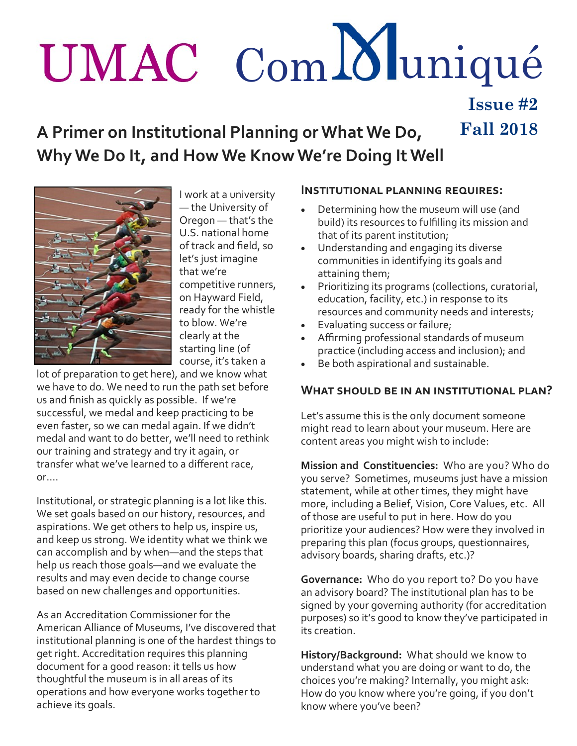# UMAC Com Muniqué **Issue #2**

**A Primer on Institutional Planning or What We Do, Fall 2018 Why We Do It, and How We Know We're Doing It Well** 



I work at a university — the University of Oregon — that's the U.S. national home of track and field, so let's just imagine that we're competitive runners, on Hayward Field, ready for the whistle to blow. We're clearly at the starting line (of course, it's taken a

lot of preparation to get here), and we know what we have to do. We need to run the path set before us and finish as quickly as possible. If we're successful, we medal and keep practicing to be even faster, so we can medal again. If we didn't medal and want to do better, we'll need to rethink our training and strategy and try it again, or transfer what we've learned to a different race, or….

Institutional, or strategic planning is a lot like this. We set goals based on our history, resources, and aspirations. We get others to help us, inspire us, and keep us strong. We identity what we think we can accomplish and by when—and the steps that help us reach those goals—and we evaluate the results and may even decide to change course based on new challenges and opportunities.

As an Accreditation Commissioner for the American Alliance of Museums, I've discovered that institutional planning is one of the hardest things to get right. Accreditation requires this planning document for a good reason: it tells us how thoughtful the museum is in all areas of its operations and how everyone works together to achieve its goals.

### **Institutional planning requires:**

- Determining how the museum will use (and build) its resources to fulfilling its mission and that of its parent institution;
- Understanding and engaging its diverse communities in identifying its goals and attaining them;
- Prioritizing its programs (collections, curatorial, education, facility, etc.) in response to its resources and community needs and interests;
- **Evaluating success or failure;**
- Affirming professional standards of museum practice (including access and inclusion); and
- Be both aspirational and sustainable.

## **What should be in an institutional plan?**

Let's assume this is the only document someone might read to learn about your museum. Here are content areas you might wish to include:

**Mission and Constituencies:** Who are you? Who do you serve? Sometimes, museums just have a mission statement, while at other times, they might have more, including a Belief, Vision, Core Values, etc. All of those are useful to put in here. How do you prioritize your audiences? How were they involved in preparing this plan (focus groups, questionnaires, advisory boards, sharing drafts, etc.)?

**Governance:** Who do you report to? Do you have an advisory board? The institutional plan has to be signed by your governing authority (for accreditation purposes) so it's good to know they've participated in its creation.

**History/Background:** What should we know to understand what you are doing or want to do, the choices you're making? Internally, you might ask: How do you know where you're going, if you don't know where you've been?